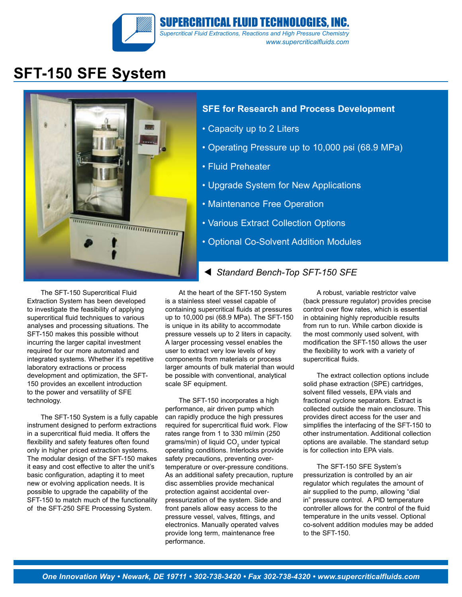

# **SFT-150 SFE System**



#### **SFE for Research and Process Development**

- Capacity up to 2 Liters
- Operating Pressure up to 10,000 psi (68.9 MPa)
- Fluid Preheater
- Upgrade System for New Applications
- Maintenance Free Operation
- Various Extract Collection Options
- Optional Co-Solvent Addition Modules

The SFT-150 Supercritical Fluid Extraction System has been developed to investigate the feasibility of applying supercritical fluid techniques to various analyses and processing situations. The SFT-150 makes this possible without incurring the larger capital investment required for our more automated and integrated systems. Whether it's repetitive laboratory extractions or process development and optimization, the SFT-150 provides an excellent introduction to the power and versatility of SFE technology.

The SFT-150 System is a fully capable instrument designed to perform extractions in a supercritical fluid media. It offers the flexibility and safety features often found only in higher priced extraction systems. The modular design of the SFT-150 makes it easy and cost effective to alter the unit's basic configuration, adapting it to meet new or evolving application needs. It is possible to upgrade the capability of the SFT-150 to match much of the functionality of the SFT-250 SFE Processing System.

At the heart of the SFT-150 System is a stainless steel vessel capable of containing supercritical fluids at pressures up to 10,000 psi (68.9 MPa). The SFT-150 is unique in its ability to accommodate pressure vessels up to 2 liters in capacity. A larger processing vessel enables the user to extract very low levels of key components from materials or process larger amounts of bulk material than would be possible with conventional, analytical scale SF equipment.

The SFT-150 incorporates a high performance, air driven pump which can rapidly produce the high pressures required for supercritical fluid work. Flow rates range from 1 to 330 ml/min (250 grams/min) of liquid CO<sub>2</sub> under typical operating conditions. Interlocks provide safety precautions, preventing overtemperature or over-pressure conditions. As an additional safety precaution, rupture disc assemblies provide mechanical protection against accidental overpressurization of the system. Side and front panels allow easy access to the pressure vessel, valves, fittings, and electronics. Manually operated valves provide long term, maintenance free performance.

A robust, variable restrictor valve (back pressure regulator) provides precise control over flow rates, which is essential in obtaining highly reproducible results from run to run. While carbon dioxide is the most commonly used solvent, with modification the SFT-150 allows the user the flexibility to work with a variety of supercritical fluids.

The extract collection options include solid phase extraction (SPE) cartridges, solvent filled vessels, EPA vials and fractional cyclone separators. Extract is collected outside the main enclosure. This provides direct access for the user and simplifies the interfacing of the SFT-150 to other instrumentation. Additional collection options are available. The standard setup is for collection into EPA vials.

The SFT-150 SFE System's pressurization is controlled by an air regulator which regulates the amount of air supplied to the pump, allowing "dial in" pressure control. A PID temperature controller allows for the control of the fluid temperature in the units vessel. Optional co-solvent addition modules may be added to the SFT-150.

### *Standard Bench-Top SFT-150 SFE*